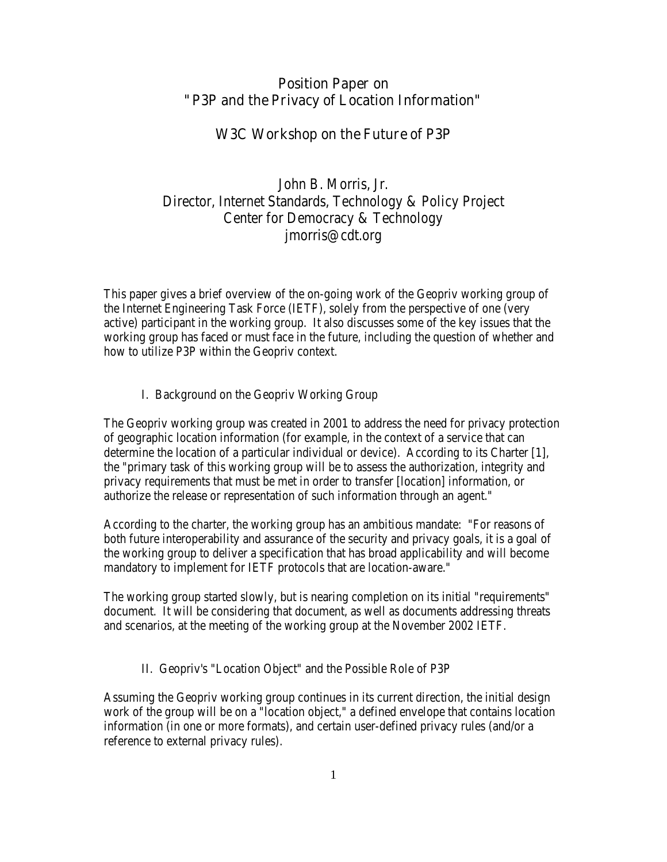### Position Paper on "P3P and the Privacy of Location Information"

# W3C Workshop on the Future of P3P

# John B. Morris, Jr. Director, Internet Standards, Technology & Policy Project Center for Democracy & Technology jmorris@cdt.org

This paper gives a brief overview of the on-going work of the Geopriv working group of the Internet Engineering Task Force (IETF), solely from the perspective of one (very active) participant in the working group. It also discusses some of the key issues that the working group has faced or must face in the future, including the question of whether and how to utilize P3P within the Geopriv context.

#### I. Background on the Geopriv Working Group

The Geopriv working group was created in 2001 to address the need for privacy protection of geographic location information (for example, in the context of a service that can determine the location of a particular individual or device). According to its Charter [1], the "primary task of this working group will be to assess the authorization, integrity and privacy requirements that must be met in order to transfer [location] information, or authorize the release or representation of such information through an agent."

According to the charter, the working group has an ambitious mandate: "For reasons of both future interoperability and assurance of the security and privacy goals, it is a goal of the working group to deliver a specification that has broad applicability and will become mandatory to implement for IETF protocols that are location-aware."

The working group started slowly, but is nearing completion on its initial "requirements" document. It will be considering that document, as well as documents addressing threats and scenarios, at the meeting of the working group at the November 2002 IETF.

#### II. Geopriv's "Location Object" and the Possible Role of P3P

Assuming the Geopriv working group continues in its current direction, the initial design work of the group will be on a "location object," a defined envelope that contains location information (in one or more formats), and certain user-defined privacy rules (and/or a reference to external privacy rules).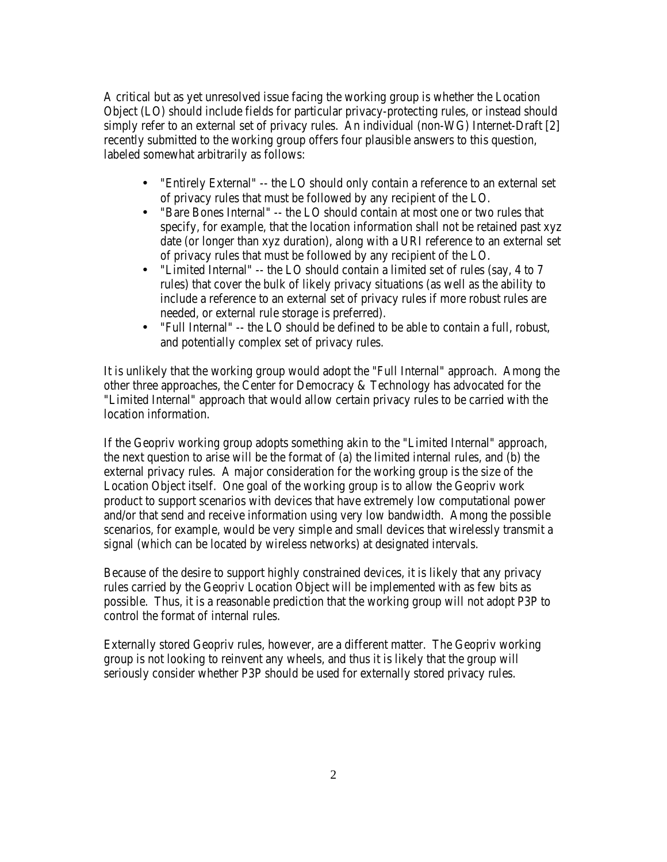A critical but as yet unresolved issue facing the working group is whether the Location Object (LO) should include fields for particular privacy-protecting rules, or instead should simply refer to an external set of privacy rules. An individual (non-WG) Internet-Draft [2] recently submitted to the working group offers four plausible answers to this question, labeled somewhat arbitrarily as follows:

- "Entirely External" -- the LO should only contain a reference to an external set of privacy rules that must be followed by any recipient of the LO.
- "Bare Bones Internal" -- the LO should contain at most one or two rules that specify, for example, that the location information shall not be retained past xyz date (or longer than xyz duration), along with a URI reference to an external set of privacy rules that must be followed by any recipient of the LO.
- "Limited Internal" -- the LO should contain a limited set of rules (say, 4 to 7 rules) that cover the bulk of likely privacy situations (as well as the ability to include a reference to an external set of privacy rules if more robust rules are needed, or external rule storage is preferred).
- "Full Internal" -- the LO should be defined to be able to contain a full, robust, and potentially complex set of privacy rules.

It is unlikely that the working group would adopt the "Full Internal" approach. Among the other three approaches, the Center for Democracy & Technology has advocated for the "Limited Internal" approach that would allow certain privacy rules to be carried with the location information.

If the Geopriv working group adopts something akin to the "Limited Internal" approach, the next question to arise will be the format of (a) the limited internal rules, and (b) the external privacy rules. A major consideration for the working group is the size of the Location Object itself. One goal of the working group is to allow the Geopriv work product to support scenarios with devices that have extremely low computational power and/or that send and receive information using very low bandwidth. Among the possible scenarios, for example, would be very simple and small devices that wirelessly transmit a signal (which can be located by wireless networks) at designated intervals.

Because of the desire to support highly constrained devices, it is likely that any privacy rules carried by the Geopriv Location Object will be implemented with as few bits as possible. Thus, it is a reasonable prediction that the working group will not adopt P3P to control the format of internal rules.

Externally stored Geopriv rules, however, are a different matter. The Geopriv working group is not looking to reinvent any wheels, and thus it is likely that the group will seriously consider whether P3P should be used for externally stored privacy rules.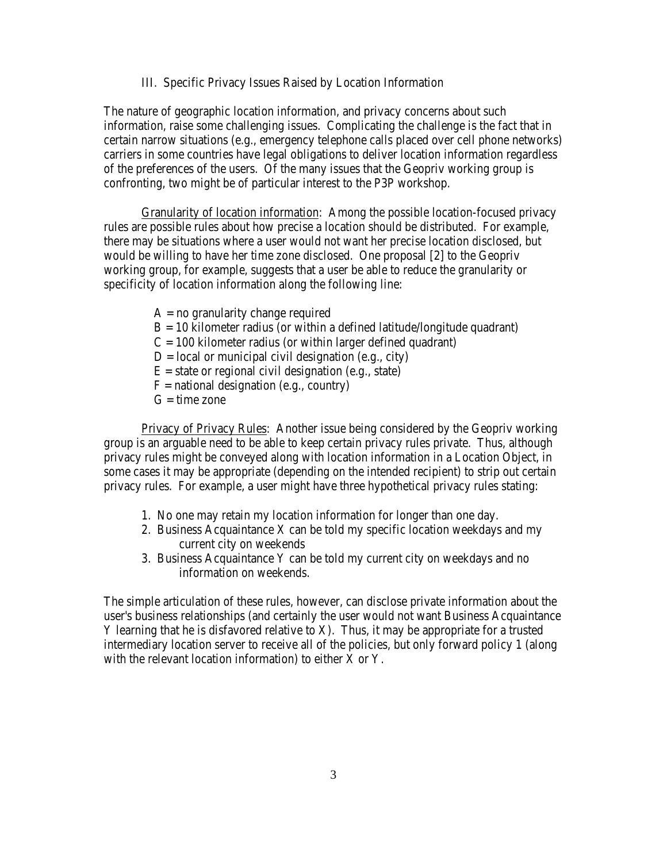III. Specific Privacy Issues Raised by Location Information

The nature of geographic location information, and privacy concerns about such information, raise some challenging issues. Complicating the challenge is the fact that in certain narrow situations (e.g., emergency telephone calls placed over cell phone networks) carriers in some countries have legal obligations to deliver location information regardless of the preferences of the users. Of the many issues that the Geopriv working group is confronting, two might be of particular interest to the P3P workshop.

Granularity of location information: Among the possible location-focused privacy rules are possible rules about how precise a location should be distributed. For example, there may be situations where a user would not want her precise location disclosed, but would be willing to have her time zone disclosed. One proposal [2] to the Geopriv working group, for example, suggests that a user be able to reduce the granularity or specificity of location information along the following line:

- $A = no$  granularity change required
- $B = 10$  kilometer radius (or within a defined latitude/longitude quadrant)

 $C = 100$  kilometer radius (or within larger defined quadrant)

- $D = local$  or municipal civil designation (e.g., city)
- $E =$  state or regional civil designation (e.g., state)
- $F =$  national designation (e.g., country)
- $G =$  time zone

Privacy of Privacy Rules: Another issue being considered by the Geopriv working group is an arguable need to be able to keep certain privacy rules private. Thus, although privacy rules might be conveyed along with location information in a Location Object, in some cases it may be appropriate (depending on the intended recipient) to strip out certain privacy rules. For example, a user might have three hypothetical privacy rules stating:

- 1. No one may retain my location information for longer than one day.
- 2. Business Acquaintance X can be told my specific location weekdays and my current city on weekends
- 3. Business Acquaintance Y can be told my current city on weekdays and no information on weekends.

The simple articulation of these rules, however, can disclose private information about the user's business relationships (and certainly the user would not want Business Acquaintance Y learning that he is disfavored relative to X). Thus, it may be appropriate for a trusted intermediary location server to receive all of the policies, but only forward policy 1 (along with the relevant location information) to either  $\bar{X}$  or  $Y$ .